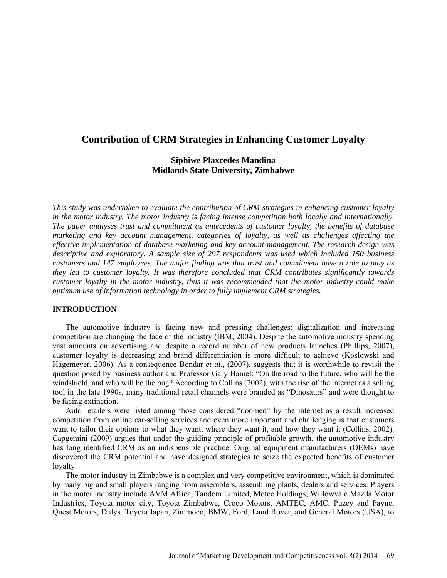# **Contribution of CRM Strategies in Enhancing Customer Loyalty**

# **Siphiwe Plaxcedes Mandina Midlands State University, Zimbabwe**

*This study was undertaken to evaluate the contribution of CRM strategies in enhancing customer loyalty in the motor industry. The motor industry is facing intense competition both locally and internationally. The paper analyses trust and commitment as antecedents of customer loyalty, the benefits of database marketing and key account management, categories of loyalty, as well as challenges affecting the effective implementation of database marketing and key account management. The research design was descriptive and exploratory. A sample size of 297 respondents was used which included 150 business customers and 147 employees. The major finding was that trust and commitment have a role to play as they led to customer loyalty. It was therefore concluded that CRM contributes significantly towards customer loyalty in the motor industry, thus it was recommended that the motor industry could make optimum use of information technology in order to fully implement CRM strategies.* 

## **INTRODUCTION**

The automotive industry is facing new and pressing challenges: digitalization and increasing competition are changing the face of the industry (IBM, 2004). Despite the automotive industry spending vast amounts on advertising and despite a record number of new products launches (Phillips, 2007), customer loyalty is decreasing and brand differentiation is more difficult to achieve (Koslowski and Hagemeyer, 2006). As a consequence Bondar *et al.,* (2007), suggests that it is worthwhile to revisit the question posed by business author and Professor Gary Hamel: "On the road to the future, who will be the windshield, and who will be the bug? According to Collins (2002), with the rise of the internet as a selling tool in the late 1990s, many traditional retail channels were branded as "Dinosaurs" and were thought to be facing extinction.

Auto retailers were listed among those considered "doomed" by the internet as a result increased competition from online car-selling services and even more important and challenging is that customers want to tailor their options to what they want, where they want it, and how they want it (Collins, 2002). Capgemini (2009) argues that under the guiding principle of profitable growth, the automotive industry has long identified CRM as an indispensible practice. Original equipment manufacturers (OEMs) have discovered the CRM potential and have designed strategies to seize the expected benefits of customer loyalty.

The motor industry in Zimbabwe is a complex and very competitive environment, which is dominated by many big and small players ranging from assemblers, assembling plants, dealers and services. Players in the motor industry include AVM Africa, Tandem Limited, Motec Holdings, Willowvale Mazda Motor Industries, Toyota motor city, Toyota Zimbabwe, Croco Motors, AMTEC, AMC, Puzey and Payne, Quest Motors, Dulys. Toyota Japan, Zimmoco, BMW, Ford, Land Rover, and General Motors (USA), to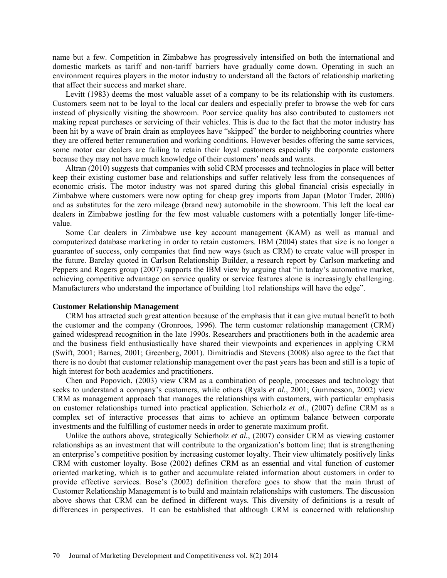name but a few. Competition in Zimbabwe has progressively intensified on both the international and domestic markets as tariff and non-tariff barriers have gradually come down. Operating in such an environment requires players in the motor industry to understand all the factors of relationship marketing that affect their success and market share.

Levitt (1983) deems the most valuable asset of a company to be its relationship with its customers. Customers seem not to be loyal to the local car dealers and especially prefer to browse the web for cars instead of physically visiting the showroom. Poor service quality has also contributed to customers not making repeat purchases or servicing of their vehicles. This is due to the fact that the motor industry has been hit by a wave of brain drain as employees have "skipped" the border to neighboring countries where they are offered better remuneration and working conditions. However besides offering the same services, some motor car dealers are failing to retain their loyal customers especially the corporate customers because they may not have much knowledge of their customers' needs and wants.

Altran (2010) suggests that companies with solid CRM processes and technologies in place will better keep their existing customer base and relationships and suffer relatively less from the consequences of economic crisis. The motor industry was not spared during this global financial crisis especially in Zimbabwe where customers were now opting for cheap grey imports from Japan (Motor Trader, 2006) and as substitutes for the zero mileage (brand new) automobile in the showroom. This left the local car dealers in Zimbabwe jostling for the few most valuable customers with a potentially longer life-timevalue.

Some Car dealers in Zimbabwe use key account management (KAM) as well as manual and computerized database marketing in order to retain customers. IBM (2004) states that size is no longer a guarantee of success, only companies that find new ways (such as CRM) to create value will prosper in the future. Barclay quoted in Carlson Relationship Builder, a research report by Carlson marketing and Peppers and Rogers group (2007) supports the IBM view by arguing that "in today's automotive market, achieving competitive advantage on service quality or service features alone is increasingly challenging. Manufacturers who understand the importance of building 1to1 relationships will have the edge".

## **Customer Relationship Management**

CRM has attracted such great attention because of the emphasis that it can give mutual benefit to both the customer and the company (Gronroos, 1996). The term customer relationship management (CRM) gained widespread recognition in the late 1990s. Researchers and practitioners both in the academic area and the business field enthusiastically have shared their viewpoints and experiences in applying CRM (Swift, 2001; Barnes, 2001; Greenberg, 2001). Dimitriadis and Stevens (2008) also agree to the fact that there is no doubt that customer relationship management over the past years has been and still is a topic of high interest for both academics and practitioners.

Chen and Popovich, (2003) view CRM as a combination of people, processes and technology that seeks to understand a company's customers, while others (Ryals *et al.,* 2001; Gummesson, 2002) view CRM as management approach that manages the relationships with customers, with particular emphasis on customer relationships turned into practical application. Schierholz *et al.*, (2007) define CRM as a complex set of interactive processes that aims to achieve an optimum balance between corporate investments and the fulfilling of customer needs in order to generate maximum profit.

Unlike the authors above, strategically Schierholz *et al.*, (2007) consider CRM as viewing customer relationships as an investment that will contribute to the organization's bottom line; that is strengthening an enterprise's competitive position by increasing customer loyalty. Their view ultimately positively links CRM with customer loyalty. Bose (2002) defines CRM as an essential and vital function of customer oriented marketing, which is to gather and accumulate related information about customers in order to provide effective services. Bose's (2002) definition therefore goes to show that the main thrust of Customer Relationship Management is to build and maintain relationships with customers. The discussion above shows that CRM can be defined in different ways. This diversity of definitions is a result of differences in perspectives. It can be established that although CRM is concerned with relationship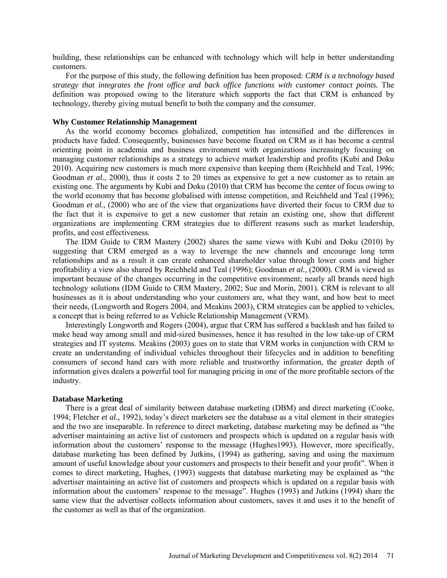building, these relationships can be enhanced with technology which will help in better understanding customers.

For the purpose of this study, the following definition has been proposed: *CRM is a technology based strategy that integrates the front office and back office functions with customer contact points.* The definition was proposed owing to the literature which supports the fact that CRM is enhanced by technology, thereby giving mutual benefit to both the company and the consumer.

### **Why Customer Relationship Management**

As the world economy becomes globalized, competition has intensified and the differences in products have faded. Consequently, businesses have become fixated on CRM as it has become a central orienting point in academia and business environment with organizations increasingly focusing on managing customer relationships as a strategy to achieve market leadership and profits (Kubi and Doku 2010). Acquiring new customers is much more expensive than keeping them (Reichheld and Teal, 1996; Goodman *et al*., 2000), thus it costs 2 to 20 times as expensive to get a new customer as to retain an existing one. The arguments by Kubi and Doku (2010) that CRM has become the center of focus owing to the world economy that has become globalised with intense competition, and Reichheld and Teal (1996); Goodman *et al.,* (2000) who are of the view that organizations have diverted their focus to CRM due to the fact that it is expensive to get a new customer that retain an existing one, show that different organizations are implementing CRM strategies due to different reasons such as market leadership, profits, and cost effectiveness.

The IDM Guide to CRM Mastery (2002) shares the same views with Kubi and Doku (2010) by suggesting that CRM emerged as a way to leverage the new channels and encourage long term relationships and as a result it can create enhanced shareholder value through lower costs and higher profitability a view also shared by Reichheld and Teal (1996); Goodman *et al.,* (2000). CRM is viewed as important because of the changes occurring in the competitive environment; nearly all brands need high technology solutions (IDM Guide to CRM Mastery, 2002; Sue and Morin, 2001). CRM is relevant to all businesses as it is about understanding who your customers are, what they want, and how best to meet their needs, (Longworth and Rogers 2004, and Meakins 2003), CRM strategies can be applied to vehicles, a concept that is being referred to as Vehicle Relationship Management (VRM).

Interestingly Longworth and Rogers (2004), argue that CRM has suffered a backlash and has failed to make head way among small and mid-sized businesses, hence it has resulted in the low take-up of CRM strategies and IT systems. Meakins (2003) goes on to state that VRM works in conjunction with CRM to create an understanding of individual vehicles throughout their lifecycles and in addition to benefiting consumers of second hand cars with more reliable and trustworthy information, the greater depth of information gives dealers a powerful tool for managing pricing in one of the more profitable sectors of the industry.

## **Database Marketing**

There is a great deal of similarity between database marketing (DBM) and direct marketing (Cooke, 1994; Fletcher *et al.,* 1992), today's direct marketers see the database as a vital element in their strategies and the two are inseparable. In reference to direct marketing, database marketing may be defined as "the advertiser maintaining an active list of customers and prospects which is updated on a regular basis with information about the customers' response to the message (Hughes1993). However, more specifically, database marketing has been defined by Jutkins, (1994) as gathering, saving and using the maximum amount of useful knowledge about your customers and prospects to their benefit and your profit". When it comes to direct marketing, Hughes, (1993) suggests that database marketing may be explained as "the advertiser maintaining an active list of customers and prospects which is updated on a regular basis with information about the customers' response to the message". Hughes (1993) and Jutkins (1994) share the same view that the advertiser collects information about customers, saves it and uses it to the benefit of the customer as well as that of the organization.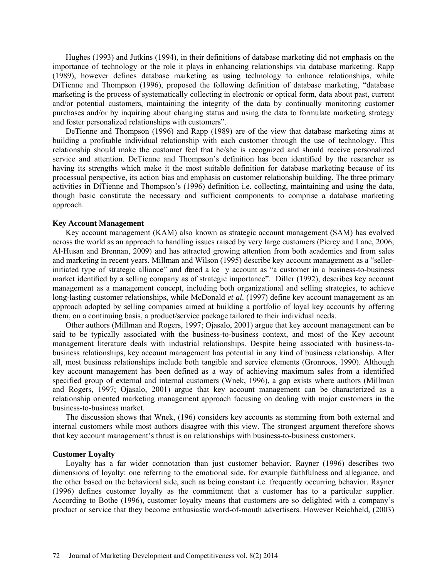Hughes (1993) and Jutkins (1994), in their definitions of database marketing did not emphasis on the importance of technology or the role it plays in enhancing relationships via database marketing. Rapp (1989), however defines database marketing as using technology to enhance relationships, while DiTienne and Thompson (1996), proposed the following definition of database marketing, "database marketing is the process of systematically collecting in electronic or optical form, data about past, current and/or potential customers, maintaining the integrity of the data by continually monitoring customer purchases and/or by inquiring about changing status and using the data to formulate marketing strategy and foster personalized relationships with customers".

DeTienne and Thompson (1996) and Rapp (1989) are of the view that database marketing aims at building a profitable individual relationship with each customer through the use of technology. This relationship should make the customer feel that he/she is recognized and should receive personalized service and attention. DeTienne and Thompson's definition has been identified by the researcher as having its strengths which make it the most suitable definition for database marketing because of its processual perspective, its action bias and emphasis on customer relationship building. The three primary activities in DiTienne and Thompson's (1996) definition i.e. collecting, maintaining and using the data, though basic constitute the necessary and sufficient components to comprise a database marketing approach.

#### **Key Account Management**

Key account management (KAM) also known as strategic account management (SAM) has evolved across the world as an approach to handling issues raised by very large customers (Piercy and Lane, 2006; Al-Husan and Brennan, 2009) and has attracted growing attention from both academics and from sales and marketing in recent years. Millman and Wilson (1995) describe key account management as a "sellerinitiated type of strategic alliance" and defined a ke y account as "a customer in a business-to-business market identified by a selling company as of strategic importance". Diller (1992), describes key account management as a management concept, including both organizational and selling strategies, to achieve long-lasting customer relationships, while McDonald *et al.* (1997) define key account management as an approach adopted by selling companies aimed at building a portfolio of loyal key accounts by offering them, on a continuing basis, a product/service package tailored to their individual needs.

Other authors (Millman and Rogers, 1997; Ojasalo, 2001) argue that key account management can be said to be typically associated with the business-to-business context, and most of the Key account management literature deals with industrial relationships. Despite being associated with business-tobusiness relationships, key account management has potential in any kind of business relationship. After all, most business relationships include both tangible and service elements (Gronroos, 1990). Although key account management has been defined as a way of achieving maximum sales from a identified specified group of external and internal customers (Wnek, 1996), a gap exists where authors (Millman and Rogers, 1997; Ojasalo, 2001) argue that key account management can be characterized as a relationship oriented marketing management approach focusing on dealing with major customers in the business-to-business market.

The discussion shows that Wnek, (196) considers key accounts as stemming from both external and internal customers while most authors disagree with this view. The strongest argument therefore shows that key account management's thrust is on relationships with business-to-business customers.

## **Customer Loyalty**

Loyalty has a far wider connotation than just customer behavior. Rayner (1996) describes two dimensions of loyalty: one referring to the emotional side, for example faithfulness and allegiance, and the other based on the behavioral side, such as being constant i.e. frequently occurring behavior. Rayner (1996) defines customer loyalty as the commitment that a customer has to a particular supplier. According to Bothe (1996), customer loyalty means that customers are so delighted with a company's product or service that they become enthusiastic word-of-mouth advertisers. However Reichheld, (2003)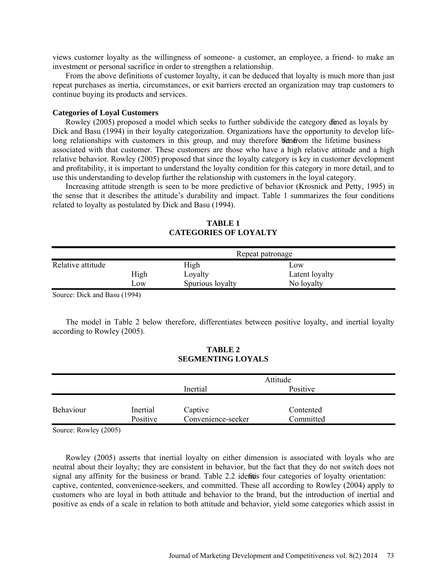views customer loyalty as the willingness of someone- a customer, an employee, a friend- to make an investment or personal sacrifice in order to strengthen a relationship.

From the above definitions of customer loyalty, it can be deduced that loyalty is much more than just repeat purchases as inertia, circumstances, or exit barriers erected an organization may trap customers to continue buying its products and services.

## **Categories of Loyal Customers**

Rowley (2005) proposed a model which seeks to further subdivide the category die das loyals by Dick and Basu (1994) in their loyalty categorization. Organizations have the opportunity to develop lifelong relationships with customers in this group, and may therefore betherefore the lifetime business associated with that customer. These customers are those who have a high relative attitude and a high relative behavior. Rowley (2005) proposed that since the loyalty category is key in customer development and profitability, it is important to understand the loyalty condition for this category in more detail, and to use this understanding to develop further the relationship with customers in the loyal category.

Increasing attitude strength is seen to be more predictive of behavior (Krosnick and Petty, 1995) in the sense that it describes the attitude's durability and impact. Table 1 summarizes the four conditions related to loyalty as postulated by Dick and Basu (1994).

|                   |      | Repeat patronage |                |  |  |
|-------------------|------|------------------|----------------|--|--|
| Relative attitude |      | High             | Low            |  |  |
|                   | High | Loyalty          | Latent loyalty |  |  |
|                   | LOW  | Spurious loyalty | No loyalty     |  |  |
|                   |      |                  |                |  |  |

**TABLE 1 CATEGORIES OF LOYALTY**

Source: Dick and Basu (1994)

The model in Table 2 below therefore, differentiates between positive loyalty, and inertial loyalty according to Rowley (2005).

## **TABLE 2 SEGMENTING LOYALS**

|           |          | Attitude           |           |  |
|-----------|----------|--------------------|-----------|--|
|           |          | Inertial           | Positive  |  |
|           |          |                    |           |  |
| Behaviour | Inertial | Captive            | Contented |  |
|           | Positive | Convenience-seeker | Committed |  |
|           |          |                    |           |  |

Source: Rowley (2005)

Rowley (2005) asserts that inertial loyalty on either dimension is associated with loyals who are neutral about their loyalty; they are consistent in behavior, but the fact that they do not switch does not signal any affinity for the business or brand. Table 2.2 identitis four categories of loyalty orientation: captive, contented, convenience-seekers, and committed. These all according to Rowley (2004) apply to customers who are loyal in both attitude and behavior to the brand, but the introduction of inertial and positive as ends of a scale in relation to both attitude and behavior, yield some categories which assist in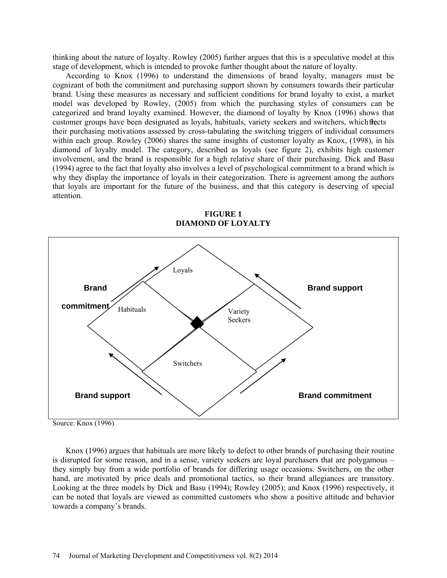thinking about the nature of loyalty. Rowley (2005) further argues that this is a speculative model at this stage of development, which is intended to provoke further thought about the nature of loyalty.

According to Knox (1996) to understand the dimensions of brand loyalty, managers must be cognizant of both the commitment and purchasing support shown by consumers towards their particular brand. Using these measures as necessary and sufficient conditions for brand loyalty to exist, a market model was developed by Rowley, (2005) from which the purchasing styles of consumers can be categorized and brand loyalty examined. However, the diamond of loyalty by Knox (1996) shows that customer groups have been designated as loyals, habituals, variety seekers and switchers, which flects their purchasing motivations assessed by cross-tabulating the switching triggers of individual consumers within each group. Rowley (2006) shares the same insights of customer loyalty as Knox, (1998), in his diamond of loyalty model. The category, described as loyals (see figure 2), exhibits high customer involvement, and the brand is responsible for a high relative share of their purchasing. Dick and Basu (1994) agree to the fact that loyalty also involves a level of psychological commitment to a brand which is why they display the importance of loyals in their categorization. There is agreement among the authors that loyals are important for the future of the business, and that this category is deserving of special attention.



**FIGURE 1 DIAMOND OF LOYALTY**

Knox (1996) argues that habituals are more likely to defect to other brands of purchasing their routine is disrupted for some reason, and in a sense, variety seekers are loyal purchasers that are polygamous – they simply buy from a wide portfolio of brands for differing usage occasions. Switchers, on the other hand, are motivated by price deals and promotional tactics, so their brand allegiances are transitory. Looking at the three models by Dick and Basu (1994); Rowley (2005); and Knox (1996) respectively, it can be noted that loyals are viewed as committed customers who show a positive attitude and behavior towards a company's brands.

Source: Knox (1996)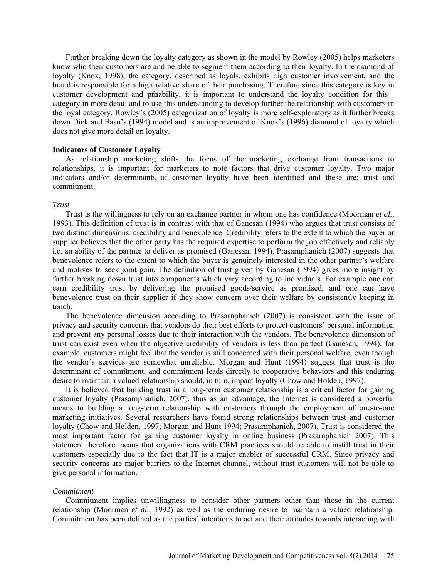Further breaking down the loyalty category as shown in the model by Rowley (2005) helps marketers know who their customers are and be able to segment them according to their loyalty. In the diamond of loyalty (Knox, 1998), the category, described as loyals, exhibits high customer involvement, and the brand is responsible for a high relative share of their purchasing. Therefore since this category is key in customer development and protability, it is important to understand the loyalty condition for this category in more detail and to use this understanding to develop further the relationship with customers in the loyal category. Rowley's (2005) categorization of loyalty is more self-exploratory as it further breaks down Dick and Basu's (1994) model and is an improvement of Knox's (1996) diamond of loyalty which does not give more detail on loyalty.

## **Indicators of Customer Loyalty**

As relationship marketing shifts the focus of the marketing exchange from transactions to relationships, it is important for marketers to note factors that drive customer loyalty. Two major indicators and/or determinants of customer loyalty have been identified and these are; trust and commitment.

## *Trust*

Trust is the willingness to rely on an exchange partner in whom one has confidence (Moorman *et al.,*  1993). This definition of trust is in contrast with that of Ganesan (1994) who argues that trust consists of two distinct dimensions: credibility and benevolence. Credibility refers to the extent to which the buyer or supplier believes that the other party has the required expertise to perform the job effectively and reliably i.e. an ability of the partner to deliver as promised (Ganesan, 1994). Prasarnphanich (2007) suggests that benevolence refers to the extent to which the buyer is genuinely interested in the other partner's welfare and motives to seek joint gain. The definition of trust given by Ganesan (1994) gives more insight by further breaking down trust into components which vary according to individuals. For example one can earn credibility trust by delivering the promised goods/service as promised, and one can have benevolence trust on their supplier if they show concern over their welfare by consistently keeping in touch.

The benevolence dimension according to Prasarnphanich (2007) is consistent with the issue of privacy and security concerns that vendors do their best efforts to protect customers' personal information and prevent any personal losses due to their interaction with the vendors. The benevolence dimension of trust can exist even when the objective credibility of vendors is less than perfect (Ganesan, 1994), for example, customers might feel that the vendor is still concerned with their personal welfare, even though the vendor's services are somewhat unreliable. Morgan and Hunt (1994) suggest that trust is the determinant of commitment, and commitment leads directly to cooperative behaviors and this enduring desire to maintain a valued relationship should, in turn, impact loyalty (Chow and Holden, 1997).

It is believed that building trust in a long-term customer relationship is a critical factor for gaining customer loyalty (Prasarnphanich, 2007), thus as an advantage, the Internet is considered a powerful means to building a long-term relationship with customers through the employment of one-to-one marketing initiatives. Several researchers have found strong relationships between trust and customer loyalty (Chow and Holden, 1997; Morgan and Hunt 1994; Prasarnphanich, 2007). Trust is considered the most important factor for gaining customer loyalty in online business (Prasarnphanich 2007). This statement therefore means that organizations with CRM practices should be able to instill trust in their customers especially due to the fact that IT is a major enabler of successful CRM. Since privacy and security concerns are major barriers to the Internet channel, without trust customers will not be able to give personal information.

#### *Commitment*

Commitment implies unwillingness to consider other partners other than those in the current relationship (Moorman *et al.,* 1992) as well as the enduring desire to maintain a valued relationship. Commitment has been defined as the parties' intentions to act and their attitudes towards interacting with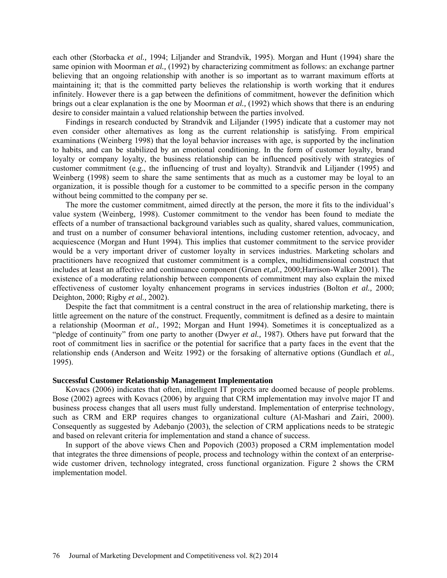each other (Storbacka *et al.,* 1994; Liljander and Strandvik, 1995). Morgan and Hunt (1994) share the same opinion with Moorman *et al.,* (1992) by characterizing commitment as follows: an exchange partner believing that an ongoing relationship with another is so important as to warrant maximum efforts at maintaining it; that is the committed party believes the relationship is worth working that it endures infinitely. However there is a gap between the definitions of commitment, however the definition which brings out a clear explanation is the one by Moorman *et al.,* (1992) which shows that there is an enduring desire to consider maintain a valued relationship between the parties involved.

Findings in research conducted by Strandvik and Liljander (1995) indicate that a customer may not even consider other alternatives as long as the current relationship is satisfying. From empirical examinations (Weinberg 1998) that the loyal behavior increases with age, is supported by the inclination to habits, and can be stabilized by an emotional conditioning. In the form of customer loyalty, brand loyalty or company loyalty, the business relationship can be influenced positively with strategies of customer commitment (e.g., the influencing of trust and loyalty). Strandvik and Liljander (1995) and Weinberg (1998) seem to share the same sentiments that as much as a customer may be loyal to an organization, it is possible though for a customer to be committed to a specific person in the company without being committed to the company per se.

The more the customer commitment, aimed directly at the person, the more it fits to the individual's value system (Weinberg, 1998). Customer commitment to the vendor has been found to mediate the effects of a number of transactional background variables such as quality, shared values, communication, and trust on a number of consumer behavioral intentions, including customer retention, advocacy, and acquiescence (Morgan and Hunt 1994). This implies that customer commitment to the service provider would be a very important driver of customer loyalty in services industries. Marketing scholars and practitioners have recognized that customer commitment is a complex, multidimensional construct that includes at least an affective and continuance component (Gruen *et,al.,* 2000;Harrison-Walker 2001). The existence of a moderating relationship between components of commitment may also explain the mixed effectiveness of customer loyalty enhancement programs in services industries (Bolton *et al.,* 2000; Deighton, 2000; Rigby *et al.,* 2002).

Despite the fact that commitment is a central construct in the area of relationship marketing, there is little agreement on the nature of the construct. Frequently, commitment is defined as a desire to maintain a relationship (Moorman *et al.,* 1992; Morgan and Hunt 1994). Sometimes it is conceptualized as a "pledge of continuity" from one party to another (Dwyer *et al.,* 1987). Others have put forward that the root of commitment lies in sacrifice or the potential for sacrifice that a party faces in the event that the relationship ends (Anderson and Weitz 1992) or the forsaking of alternative options (Gundlach *et al.,* 1995).

## **Successful Customer Relationship Management Implementation**

Kovacs (2006) indicates that often, intelligent IT projects are doomed because of people problems. Bose (2002) agrees with Kovacs (2006) by arguing that CRM implementation may involve major IT and business process changes that all users must fully understand. Implementation of enterprise technology, such as CRM and ERP requires changes to organizational culture (Al-Mashari and Zairi, 2000). Consequently as suggested by Adebanjo (2003), the selection of CRM applications needs to be strategic and based on relevant criteria for implementation and stand a chance of success.

In support of the above views Chen and Popovich (2003) proposed a CRM implementation model that integrates the three dimensions of people, process and technology within the context of an enterprisewide customer driven, technology integrated, cross functional organization. Figure 2 shows the CRM implementation model.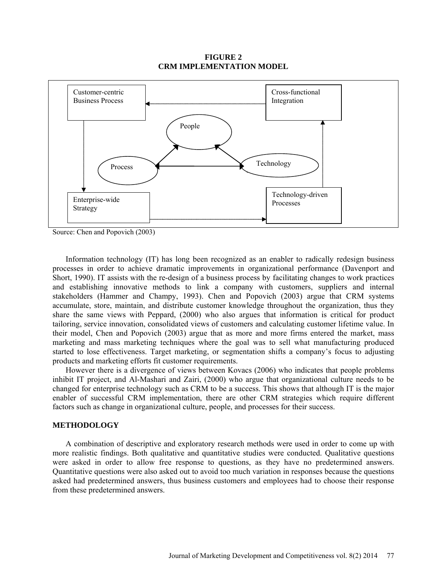## **FIGURE 2 CRM IMPLEMENTATION MODEL**



Source: Chen and Popovich (2003)

Information technology (IT) has long been recognized as an enabler to radically redesign business processes in order to achieve dramatic improvements in organizational performance (Davenport and Short, 1990). IT assists with the re-design of a business process by facilitating changes to work practices and establishing innovative methods to link a company with customers, suppliers and internal stakeholders (Hammer and Champy, 1993). Chen and Popovich (2003) argue that CRM systems accumulate, store, maintain, and distribute customer knowledge throughout the organization, thus they share the same views with Peppard, (2000) who also argues that information is critical for product tailoring, service innovation, consolidated views of customers and calculating customer lifetime value. In their model, Chen and Popovich (2003) argue that as more and more firms entered the market, mass marketing and mass marketing techniques where the goal was to sell what manufacturing produced started to lose effectiveness. Target marketing, or segmentation shifts a company's focus to adjusting products and marketing efforts fit customer requirements.

However there is a divergence of views between Kovacs (2006) who indicates that people problems inhibit IT project, and Al-Mashari and Zairi, (2000) who argue that organizational culture needs to be changed for enterprise technology such as CRM to be a success. This shows that although IT is the major enabler of successful CRM implementation, there are other CRM strategies which require different factors such as change in organizational culture, people, and processes for their success.

## **METHODOLOGY**

A combination of descriptive and exploratory research methods were used in order to come up with more realistic findings. Both qualitative and quantitative studies were conducted. Qualitative questions were asked in order to allow free response to questions, as they have no predetermined answers. Quantitative questions were also asked out to avoid too much variation in responses because the questions asked had predetermined answers, thus business customers and employees had to choose their response from these predetermined answers.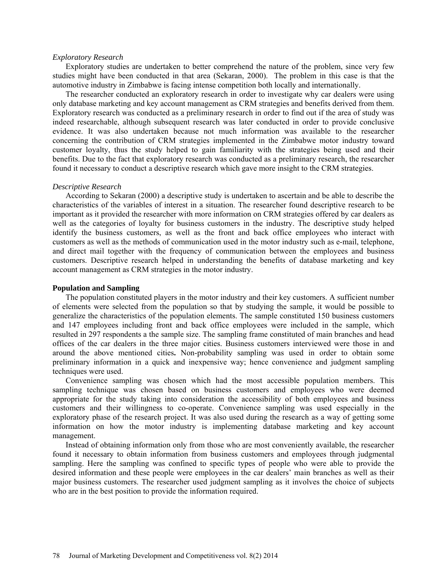#### *Exploratory Research*

Exploratory studies are undertaken to better comprehend the nature of the problem, since very few studies might have been conducted in that area (Sekaran, 2000). The problem in this case is that the automotive industry in Zimbabwe is facing intense competition both locally and internationally.

The researcher conducted an exploratory research in order to investigate why car dealers were using only database marketing and key account management as CRM strategies and benefits derived from them. Exploratory research was conducted as a preliminary research in order to find out if the area of study was indeed researchable, although subsequent research was later conducted in order to provide conclusive evidence. It was also undertaken because not much information was available to the researcher concerning the contribution of CRM strategies implemented in the Zimbabwe motor industry toward customer loyalty, thus the study helped to gain familiarity with the strategies being used and their benefits. Due to the fact that exploratory research was conducted as a preliminary research, the researcher found it necessary to conduct a descriptive research which gave more insight to the CRM strategies.

#### *Descriptive Research*

According to Sekaran (2000) a descriptive study is undertaken to ascertain and be able to describe the characteristics of the variables of interest in a situation. The researcher found descriptive research to be important as it provided the researcher with more information on CRM strategies offered by car dealers as well as the categories of loyalty for business customers in the industry. The descriptive study helped identify the business customers, as well as the front and back office employees who interact with customers as well as the methods of communication used in the motor industry such as e-mail, telephone, and direct mail together with the frequency of communication between the employees and business customers. Descriptive research helped in understanding the benefits of database marketing and key account management as CRM strategies in the motor industry.

### **Population and Sampling**

The population constituted players in the motor industry and their key customers. A sufficient number of elements were selected from the population so that by studying the sample, it would be possible to generalize the characteristics of the population elements. The sample constituted 150 business customers and 147 employees including front and back office employees were included in the sample, which resulted in 297 respondents a the sample size. The sampling frame constituted of main branches and head offices of the car dealers in the three major cities. Business customers interviewed were those in and around the above mentioned cities**.** Non-probability sampling was used in order to obtain some preliminary information in a quick and inexpensive way; hence convenience and judgment sampling techniques were used.

Convenience sampling was chosen which had the most accessible population members. This sampling technique was chosen based on business customers and employees who were deemed appropriate for the study taking into consideration the accessibility of both employees and business customers and their willingness to co-operate. Convenience sampling was used especially in the exploratory phase of the research project. It was also used during the research as a way of getting some information on how the motor industry is implementing database marketing and key account management.

Instead of obtaining information only from those who are most conveniently available, the researcher found it necessary to obtain information from business customers and employees through judgmental sampling. Here the sampling was confined to specific types of people who were able to provide the desired information and these people were employees in the car dealers' main branches as well as their major business customers. The researcher used judgment sampling as it involves the choice of subjects who are in the best position to provide the information required.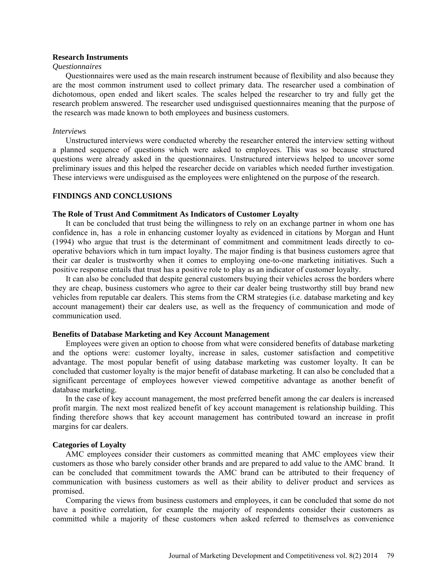## **Research Instruments**

## *Questionnaires*

Questionnaires were used as the main research instrument because of flexibility and also because they are the most common instrument used to collect primary data. The researcher used a combination of dichotomous, open ended and likert scales. The scales helped the researcher to try and fully get the research problem answered. The researcher used undisguised questionnaires meaning that the purpose of the research was made known to both employees and business customers.

### *Interviews*

Unstructured interviews were conducted whereby the researcher entered the interview setting without a planned sequence of questions which were asked to employees. This was so because structured questions were already asked in the questionnaires. Unstructured interviews helped to uncover some preliminary issues and this helped the researcher decide on variables which needed further investigation. These interviews were undisguised as the employees were enlightened on the purpose of the research.

### **FINDINGS AND CONCLUSIONS**

### **The Role of Trust And Commitment As Indicators of Customer Loyalty**

It can be concluded that trust being the willingness to rely on an exchange partner in whom one has confidence in, has a role in enhancing customer loyalty as evidenced in citations by Morgan and Hunt (1994) who argue that trust is the determinant of commitment and commitment leads directly to cooperative behaviors which in turn impact loyalty. The major finding is that business customers agree that their car dealer is trustworthy when it comes to employing one-to-one marketing initiatives. Such a positive response entails that trust has a positive role to play as an indicator of customer loyalty.

It can also be concluded that despite general customers buying their vehicles across the borders where they are cheap, business customers who agree to their car dealer being trustworthy still buy brand new vehicles from reputable car dealers. This stems from the CRM strategies (i.e. database marketing and key account management) their car dealers use, as well as the frequency of communication and mode of communication used.

## **Benefits of Database Marketing and Key Account Management**

Employees were given an option to choose from what were considered benefits of database marketing and the options were: customer loyalty, increase in sales, customer satisfaction and competitive advantage. The most popular benefit of using database marketing was customer loyalty. It can be concluded that customer loyalty is the major benefit of database marketing. It can also be concluded that a significant percentage of employees however viewed competitive advantage as another benefit of database marketing.

In the case of key account management, the most preferred benefit among the car dealers is increased profit margin. The next most realized benefit of key account management is relationship building. This finding therefore shows that key account management has contributed toward an increase in profit margins for car dealers.

## **Categories of Loyalty**

AMC employees consider their customers as committed meaning that AMC employees view their customers as those who barely consider other brands and are prepared to add value to the AMC brand. It can be concluded that commitment towards the AMC brand can be attributed to their frequency of communication with business customers as well as their ability to deliver product and services as promised.

Comparing the views from business customers and employees, it can be concluded that some do not have a positive correlation, for example the majority of respondents consider their customers as committed while a majority of these customers when asked referred to themselves as convenience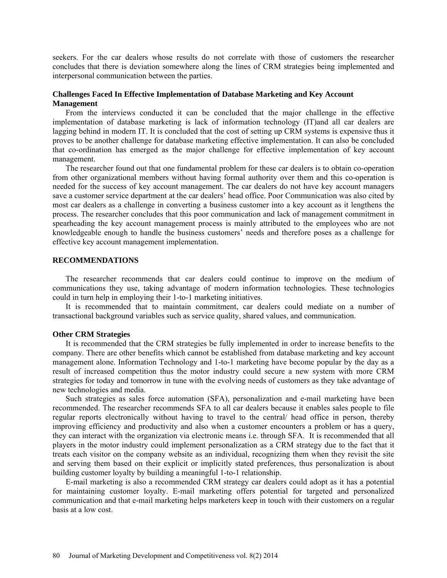seekers. For the car dealers whose results do not correlate with those of customers the researcher concludes that there is deviation somewhere along the lines of CRM strategies being implemented and interpersonal communication between the parties.

## **Challenges Faced In Effective Implementation of Database Marketing and Key Account Management**

From the interviews conducted it can be concluded that the major challenge in the effective implementation of database marketing is lack of information technology (IT)and all car dealers are lagging behind in modern IT. It is concluded that the cost of setting up CRM systems is expensive thus it proves to be another challenge for database marketing effective implementation. It can also be concluded that co-ordination has emerged as the major challenge for effective implementation of key account management.

The researcher found out that one fundamental problem for these car dealers is to obtain co-operation from other organizational members without having formal authority over them and this co-operation is needed for the success of key account management. The car dealers do not have key account managers save a customer service department at the car dealers' head office. Poor Communication was also cited by most car dealers as a challenge in converting a business customer into a key account as it lengthens the process. The researcher concludes that this poor communication and lack of management commitment in spearheading the key account management process is mainly attributed to the employees who are not knowledgeable enough to handle the business customers' needs and therefore poses as a challenge for effective key account management implementation.

## **RECOMMENDATIONS**

The researcher recommends that car dealers could continue to improve on the medium of communications they use, taking advantage of modern information technologies. These technologies could in turn help in employing their 1-to-1 marketing initiatives.

It is recommended that to maintain commitment, car dealers could mediate on a number of transactional background variables such as service quality, shared values, and communication.

## **Other CRM Strategies**

It is recommended that the CRM strategies be fully implemented in order to increase benefits to the company. There are other benefits which cannot be established from database marketing and key account management alone. Information Technology and 1-to-1 marketing have become popular by the day as a result of increased competition thus the motor industry could secure a new system with more CRM strategies for today and tomorrow in tune with the evolving needs of customers as they take advantage of new technologies and media.

Such strategies as sales force automation (SFA), personalization and e-mail marketing have been recommended. The researcher recommends SFA to all car dealers because it enables sales people to file regular reports electronically without having to travel to the central/ head office in person, thereby improving efficiency and productivity and also when a customer encounters a problem or has a query, they can interact with the organization via electronic means i.e. through SFA. It is recommended that all players in the motor industry could implement personalization as a CRM strategy due to the fact that it treats each visitor on the company website as an individual, recognizing them when they revisit the site and serving them based on their explicit or implicitly stated preferences, thus personalization is about building customer loyalty by building a meaningful 1-to-1 relationship.

E-mail marketing is also a recommended CRM strategy car dealers could adopt as it has a potential for maintaining customer loyalty. E-mail marketing offers potential for targeted and personalized communication and that e-mail marketing helps marketers keep in touch with their customers on a regular basis at a low cost.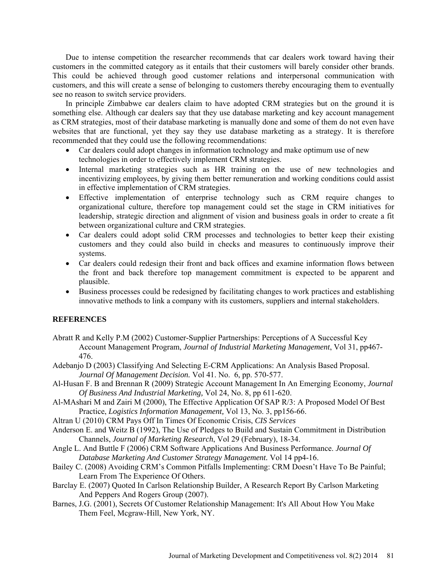Due to intense competition the researcher recommends that car dealers work toward having their customers in the committed category as it entails that their customers will barely consider other brands. This could be achieved through good customer relations and interpersonal communication with customers, and this will create a sense of belonging to customers thereby encouraging them to eventually see no reason to switch service providers.

In principle Zimbabwe car dealers claim to have adopted CRM strategies but on the ground it is something else. Although car dealers say that they use database marketing and key account management as CRM strategies, most of their database marketing is manually done and some of them do not even have websites that are functional, yet they say they use database marketing as a strategy. It is therefore recommended that they could use the following recommendations:

- Car dealers could adopt changes in information technology and make optimum use of new technologies in order to effectively implement CRM strategies.
- Internal marketing strategies such as HR training on the use of new technologies and incentivizing employees, by giving them better remuneration and working conditions could assist in effective implementation of CRM strategies.
- Effective implementation of enterprise technology such as CRM require changes to organizational culture, therefore top management could set the stage in CRM initiatives for leadership, strategic direction and alignment of vision and business goals in order to create a fit between organizational culture and CRM strategies.
- Car dealers could adopt solid CRM processes and technologies to better keep their existing customers and they could also build in checks and measures to continuously improve their systems.
- Car dealers could redesign their front and back offices and examine information flows between the front and back therefore top management commitment is expected to be apparent and plausible.
- Business processes could be redesigned by facilitating changes to work practices and establishing innovative methods to link a company with its customers, suppliers and internal stakeholders.

## **REFERENCES**

- Abratt R and Kelly P.M (2002) Customer-Supplier Partnerships: Perceptions of A Successful Key Account Management Program, *Journal of Industrial Marketing Management*, Vol 31, pp467- 476.
- Adebanjo D (2003) Classifying And Selecting E-CRM Applications: An Analysis Based Proposal. *Journal Of Management Decision.* Vol 41. No. 6, pp. 570-577.
- Al-Husan F. B and Brennan R (2009) Strategic Account Management In An Emerging Economy, *Journal Of Business And Industrial Marketing,* Vol 24, No. 8, pp 611-620.
- Al-MAshari M and Zairi M (2000), The Effective Application Of SAP R/3: A Proposed Model Of Best Practice, *Logistics Information Management,* Vol 13, No. 3, pp156-66.
- Altran U (2010) CRM Pays Off In Times Of Economic Crisis, *CIS Services*
- Anderson E. and Weitz B (1992), The Use of Pledges to Build and Sustain Commitment in Distribution Channels, *Journal of Marketing Research*, Vol 29 (February), 18-34.
- Angle L. And Buttle F (2006) CRM Software Applications And Business Performance. *Journal Of Database Marketing And Customer Strategy Management.* Vol 14 pp4-16.
- Bailey C. (2008) Avoiding CRM's Common Pitfalls Implementing: CRM Doesn't Have To Be Painful; Learn From The Experience Of Others.
- Barclay E. (2007) Quoted In Carlson Relationship Builder, A Research Report By Carlson Marketing And Peppers And Rogers Group (2007).
- Barnes, J.G. (2001), Secrets Of Customer Relationship Management: It's All About How You Make Them Feel, Mcgraw-Hill, New York, NY.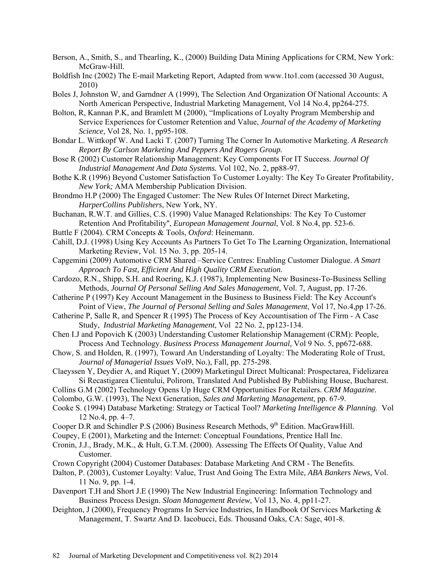- Berson, A., Smith, S., and Thearling, K., (2000) Building Data Mining Applications for CRM, New York: McGraw-Hill.
- Boldfish Inc (2002) The E-mail Marketing Report, Adapted from [www.1to1.com](http://www.1to1.com/) (accessed 30 August, 2010)
- Boles J, Johnston W, and Garndner A (1999), The Selection And Organization Of National Accounts: A North American Perspective, Industrial Marketing Management, Vol 14 No.4, pp264-275.
- Bolton, R, Kannan P.K, and Bramlett M (2000), "Implications of Loyalty Program Membership and Service Experiences for Customer Retention and Value, *Journal of the Academy of Marketing Science*, Vol 28, No. 1, pp95-108.
- Bondar L. Wittkopf W. And Lacki T. (2007) Turning The Corner In Automotive Marketing. *A Research Report By Carlson Marketing And Peppers And Rogers Group.*
- Bose R (2002) Customer Relationship Management: Key Components For IT Success. *Journal Of Industrial Management And Data Systems.* Vol 102, No. 2, pp88-97.
- Bothe K.R (1996) Beyond Customer Satisfaction To Customer Loyalty: The Key To Greater Profitability, *New York;* AMA Membership Publication Division.
- Brondmo H.P (2000) The Engaged Customer: The New Rules Of Internet Direct Marketing, *HarperCollins Publishers*, New York, NY.
- Buchanan, R.W.T. and Gillies, C.S. (1990) Value Managed Relationships: The Key To Customer Retention And Profitability'', *European Management Journal*, Vol. 8 No.4, pp. 523-6.
- Buttle F (2004). CRM Concepts & Tools, *Oxford*: Heinemann.
- Cahill, D.J. (1998) Using Key Accounts As Partners To Get To The Learning Organization, International Marketing Review, Vol. 15 No. 3, pp. 205-14.
- Capgemini (2009) Automotive CRM Shared –Service Centres: Enabling Customer Dialogue. *A Smart Approach To Fast, Efficient And High Quality CRM Execution.*
- Cardozo, R.N., Shipp, S.H. and Roering, K.J. (1987), Implementing New Business-To-Business Selling Methods, *Journal Of Personal Selling And Sales Management,* Vol. 7, August, pp. 17-26.
- Catherine P (1997) Key Account Management in the Business to Business Field: The Key Account's Point of View, *The Journal of Personal Selling and Sales Management*, Vol 17, No.4,pp 17-26.
- Catherine P, Salle R, and Spencer R (1995) The Process of Key Accountisation of The Firm A Case Study, *Industrial Marketing Management*, Vol 22 No. 2, pp123-134.
- Chen I.J and Popovich K (2003) Understanding Customer Relationship Management (CRM): People, Process And Technology. *Business Process Management Journal,* Vol 9 No. 5, pp672-688.
- Chow, S. and Holden, R. (1997), Toward An Understanding of Loyalty: The Moderating Role of Trust, *Journal of Managerial Issues* Vol9, No.), Fall, pp. 275-298.
- Claeyssen Y, Deydier A, and Riquet Y, (2009) Marketingul Direct Multicanal: Prospectarea, Fidelizarea Si Recastigarea Clientului, Polirom, Translated And Published By Publishing House, Bucharest.
- Collins G.M (2002) Technology Opens Up Huge CRM Opportunities For Retailers. *CRM Magazine.*
- Colombo, G.W. (1993), The Next Generation, *Sales and Marketing Management*, pp. 67-9.
- Cooke S. (1994) Database Marketing: Strategy or Tactical Tool? *Marketing Intelligence & Planning*. Vol 12 No.4, pp. 4–7.
- Cooper D.R and Schindler P.S (2006) Business Research Methods,  $9<sup>th</sup>$  Edition. MacGrawHill.
- Coupey, E (2001), Marketing and the Internet: Conceptual Foundations, Prentice Hall Inc.
- Cronin, J.J., Brady, M.K., & Hult, G.T.M. (2000). Assessing The Effects Of Quality, Value And Customer.
- Crown Copyright (2004) Customer Databases: Database Marketing And CRM The Benefits.
- Dalton, P. (2003), Customer Loyalty: Value, Trust And Going The Extra Mile, *ABA Bankers News,* Vol. 11 No. 9, pp. 1-4.
- Davenport T.H and Short J.E (1990) The New Industrial Engineering: Information Technology and Business Process Design. *Sloan Management Review,* Vol 13, No. 4, pp11-27.
- Deighton, J (2000), Frequency Programs In Service Industries, In Handbook Of Services Marketing & Management, T. Swartz And D. Iacobucci, Eds. Thousand Oaks, CA: Sage, 401-8.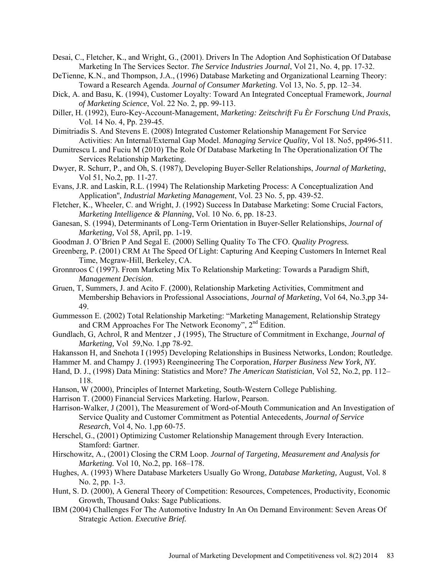- Desai, C., Fletcher, K., and Wright, G., (2001). Drivers In The Adoption And Sophistication Of Database Marketing In The Services Sector. *The Service Industries Journal*, Vol 21, No. 4, pp. 17-32.
- DeTienne, K.N., and Thompson, J.A., (1996) Database Marketing and Organizational Learning Theory: Toward a Research Agenda. *Journal of Consumer Marketing.* Vol 13, No. 5, pp. 12–34.
- Dick, A. and Basu, K. (1994), Customer Loyalty: Toward An Integrated Conceptual Framework, *Journal of Marketing Science*, Vol. 22 No. 2, pp. 99-113.
- Diller, H. (1992), Euro-Key-Account-Management, *Marketing: Zeitschrift Fu Èr Forschung Und Praxis*, Vol. 14 No. 4, Pp. 239-45.
- Dimitriadis S. And Stevens E. (2008) Integrated Customer Relationship Management For Service Activities: An Internal/External Gap Model. *Managing Service Quality,* Vol 18. No5, pp496-511.
- Dumitrescu L and Fuciu M (2010) The Role Of Database Marketing In The Operationalization Of The Services Relationship Marketing.
- Dwyer, R. Schurr, P., and Oh, S. (1987), Developing Buyer-Seller Relationships, *Journal of Marketing*, Vol 51, No.2, pp. 11-27.
- Evans, J.R. and Laskin, R.L. (1994) The Relationship Marketing Process: A Conceptualization And Application'', *Industrial Marketing Management*, Vol. 23 No. 5, pp. 439-52.
- Fletcher, K., Wheeler, C. and Wright, J. (1992) Success In Database Marketing: Some Crucial Factors, *Marketing Intelligence & Planning*, Vol. 10 No. 6, pp. 18-23.
- Ganesan, S. (1994), Determinants of Long-Term Orientation in Buyer-Seller Relationships, *Journal of Marketing,* Vol 58, April, pp. 1-19.
- Goodman J. O'Brien P And Segal E. (2000) Selling Quality To The CFO. *Quality Progress.*
- Greenberg, P. (2001) CRM At The Speed Of Light: Capturing And Keeping Customers In Internet Real Time, Mcgraw-Hill, Berkeley, CA.
- Gronnroos C (1997). From Marketing Mix To Relationship Marketing: Towards a Paradigm Shift, *Management Decision*.
- Gruen, T, Summers, J. and Acito F. (2000), Relationship Marketing Activities, Commitment and Membership Behaviors in Professional Associations, *Journal of Marketing*, Vol 64, No.3,pp 34- 49.
- Gummesson E. (2002) Total Relationship Marketing: "Marketing Management, Relationship Strategy and CRM Approaches For The Network Economy", 2nd Edition.
- Gundlach, G, Achrol, R and Mentzer , J (1995), The Structure of Commitment in Exchange, *Journal of Marketing,* Vol 59,No. 1,pp 78-92.
- Hakansson H, and Snehota I (1995) Developing Relationships in Business Networks, London; Routledge.
- Hammer M. and Champy J. (1993) Reengineering The Corporation, *Harper Business New York, NY.*
- Hand, D. J., (1998) Data Mining: Statistics and More? *The American Statistician*, Vol 52, No.2, pp. 112– 118.
- Hanson, W (2000), Principles of Internet Marketing, South-Western College Publishing.
- Harrison T. (2000) Financial Services Marketing. Harlow, Pearson.
- Harrison-Walker, J (2001), The Measurement of Word-of-Mouth Communication and An Investigation of Service Quality and Customer Commitment as Potential Antecedents, *Journal of Service Research*, Vol 4, No. 1,pp 60-75.
- Herschel, G., (2001) Optimizing Customer Relationship Management through Every Interaction. Stamford: Gartner.
- Hirschowitz, A., (2001) Closing the CRM Loop. *Journal of Targeting, Measurement and Analysis for Marketing.* Vol 10, No.2, pp. 168–178.
- Hughes, A. (1993) Where Database Marketers Usually Go Wrong, *Database Marketing,* August, Vol. 8 No. 2, pp. 1-3.
- Hunt, S. D. (2000), A General Theory of Competition: Resources, Competences, Productivity, Economic Growth, Thousand Oaks: Sage Publications.
- IBM (2004) Challenges For The Automotive Industry In An On Demand Environment: Seven Areas Of Strategic Action. *Executive Brief.*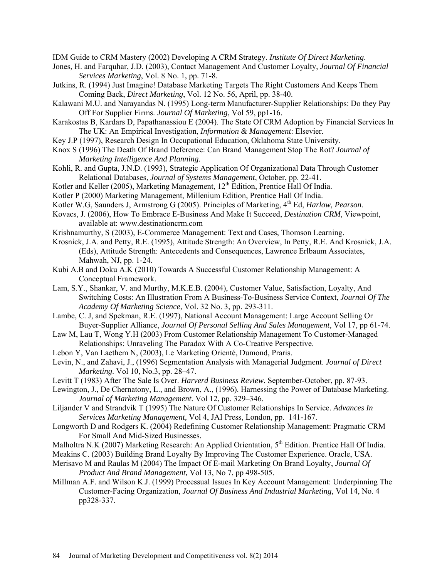IDM Guide to CRM Mastery (2002) Developing A CRM Strategy. *Institute Of Direct Marketing*.

- Jones, H. and Farquhar, J.D. (2003), Contact Management And Customer Loyalty, *Journal Of Financial Services Marketing*, Vol. 8 No. 1, pp. 71-8.
- Jutkins, R. (1994) Just Imagine! Database Marketing Targets The Right Customers And Keeps Them Coming Back, *Direct Marketing*, Vol. 12 No. 56, April, pp. 38-40.
- Kalawani M.U. and Narayandas N. (1995) Long-term Manufacturer-Supplier Relationships: Do they Pay Off For Supplier Firms. *Journal Of Marketing*, Vol 59, pp1-16.
- Karakostas B, Kardars D, Papathanassiou E (2004). The State Of CRM Adoption by Financial Services In The UK: An Empirical Investigation, *Information & Management*: Elsevier.
- Key J.P (1997), Research Design In Occupational Education, Oklahoma State University.
- Knox S (1996) The Death Of Brand Deference: Can Brand Management Stop The Rot? *Journal of Marketing Intelligence And Planning.*
- Kohli, R. and Gupta, J.N.D. (1993), Strategic Application Of Organizational Data Through Customer Relational Databases, *Journal of Systems Management*, October, pp. 22-41.
- Kotler and Keller (2005), Marketing Management,  $12<sup>th</sup>$  Edition, Prentice Hall Of India.
- Kotler P (2000) Marketing Management, Millenium Edition, Prentice Hall Of India.
- Kotler W.G, Saunders J, Armstrong G (2005). Principles of Marketing, 4<sup>th</sup> Ed, *Harlow, Pearson.*
- Kovacs, J. (2006), How To Embrace E-Business And Make It Succeed, *Destination CRM*, Viewpoint, available at: [www.destinationcrm.com](http://www.destinationcrm.com/)
- Krishnamurthy, S (2003), E-Commerce Management: Text and Cases, Thomson Learning.
- Krosnick, J.A. and Petty, R.E. (1995), Attitude Strength: An Overview, In Petty, R.E. And Krosnick, J.A. (Eds), Attitude Strength: Antecedents and Consequences, Lawrence Erlbaum Associates, Mahwah, NJ, pp. 1-24.
- Kubi A.B and Doku A.K (2010) Towards A Successful Customer Relationship Management: A Conceptual Framework.
- Lam, S.Y., Shankar, V. and Murthy, M.K.E.B. (2004), Customer Value, Satisfaction, Loyalty, And Switching Costs: An Illustration From A Business-To-Business Service Context, *Journal Of The Academy Of Marketing Science*, Vol. 32 No. 3, pp. 293-311.
- Lambe, C. J, and Spekman, R.E. (1997), National Account Management: Large Account Selling Or Buyer-Supplier Alliance, *Journal Of Personal Selling And Sales Management*, Vol 17, pp 61-74.
- Law M, Lau T, Wong Y.H (2003) From Customer Relationship Management To Customer-Managed Relationships: Unraveling The Paradox With A Co-Creative Perspective.
- Lebon Y, Van Laethem N, (2003), Le Marketing Orienté, Dumond, Praris.
- Levin, N., and Zahavi, J., (1996) Segmentation Analysis with Managerial Judgment. *Journal of Direct Marketing*. Vol 10, No.3, pp. 28–47.
- Levitt T (1983) After The Sale Is Over. *Harverd Business Review.* September-October, pp. 87-93.
- Lewington, J., De Chernatony, L., and Brown, A., (1996). Harnessing the Power of Database Marketing. *Journal of Marketing Management.* Vol 12, pp. 329–346.
- Liljander V and Strandvik T (1995) The Nature Of Customer Relationships In Service. *Advances In Services Marketing Management,* Vol 4, JAI Press, London, pp. 141-167.
- Longworth D and Rodgers K. (2004) Redefining Customer Relationship Management: Pragmatic CRM For Small And Mid-Sized Businesses.
- Malholtra N.K (2007) Marketing Research: An Applied Orientation, 5<sup>th</sup> Edition. Prentice Hall Of India.
- Meakins C. (2003) Building Brand Loyalty By Improving The Customer Experience. Oracle, USA. Merisavo M and Raulas M (2004) The Impact Of E-mail Marketing On Brand Loyalty, *Journal Of*
- *Product And Brand Management,* Vol 13, No 7, pp 498-505.
- Millman A.F. and Wilson K.J. (1999) Processual Issues In Key Account Management: Underpinning The Customer-Facing Organization, *Journal Of Business And Industrial Marketing,* Vol 14, No. 4 pp328-337.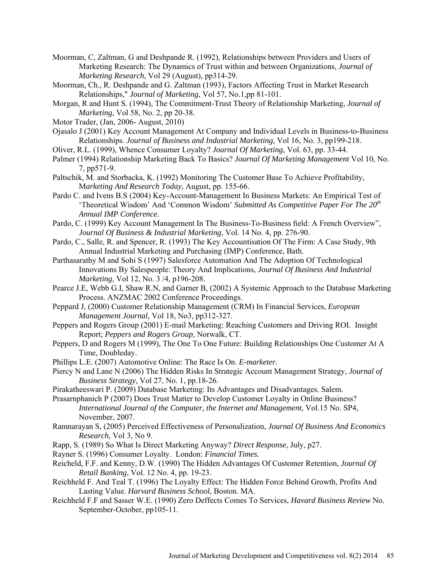- Moorman, C, Zaltman, G and Deshpande R. (1992), Relationships between Providers and Users of Marketing Research: The Dynamics of Trust within and between Organizations, *Journal of Marketing Research*, Vol 29 (August), pp314-29.
- Moorman, Ch., R. Deshpande and G. Zaltman (1993), Factors Affecting Trust in Market Research Relationships," *Journal of Marketing*, Vol 57, No.1,pp 81-101.
- Morgan, R and Hunt S. (1994), The Commitment-Trust Theory of Relationship Marketing, *Journal of Marketing*, Vol 58, No. 2, pp 20-38.
- Motor Trader, (Jan, 2006- August, 2010)
- Ojasalo J (2001) Key Account Management At Company and Individual Levels in Business-to-Business Relationships. *Journal of Business and Industrial Marketing,* Vol 16, No. 3, pp199-218.
- Oliver, R.L. (1999), Whence Consumer Loyalty? *Journal Of Marketing*, Vol. 63, pp. 33-44.
- Palmer (1994) Relationship Marketing Back To Basics? *Journal Of Marketing Management* Vol 10, No. 7, pp571-9.
- Paltschik, M. and Storbacka, K. (1992) Monitoring The Customer Base To Achieve Profitability, M*arketing And Research Today*, August, pp. 155-66.
- Pardo C. and Ivens B.S (2004) Key-Account-Management In Business Markets: An Empirical Test of 'Theoretical Wisdom' And 'Common Wisdom' *Submitted As Competitive Paper For The 20th Annual IMP Conference.*
- Pardo, C. (1999) Key Account Management In The Business-To-Business field: A French Overview", *Journal Of Business & Industrial Marketing*, Vol. 14 No. 4, pp. 276-90.
- Pardo, C., Salle, R. and Spencer, R. (1993) The Key Accountisation Of The Firm: A Case Study, 9th Annual Industrial Marketing and Purchasing (IMP) Conference, Bath.
- Parthasarathy M and Sohi S (1997) Salesforce Automation And The Adoption Of Technological Innovations By Salespeople: Theory And Implications, *Journal Of Business And Industrial Marketing*, Vol 12, No. 3 /4, p196-208.
- Pearce J.E, Webb G.I, Shaw R.N, and Garner B, (2002) A Systemic Approach to the Database Marketing Process. ANZMAC 2002 Conference Proceedings.
- Peppard J, (2000) Customer Relationship Management (CRM) In Financial Services, *European Management Journal,* Vol 18, No3, pp312-327.
- Peppers and Rogers Group (2001) E-mail Marketing: Reaching Customers and Driving ROI. Insight Report; *Peppers and Rogers Group,* Norwalk, CT.
- Peppers, D and Rogers M (1999), The One To One Future: Building Relationships One Customer At A Time, Doubleday.
- Phillips L.E. (2007) Automotive Online: The Race Is On. *E-marketer.*
- Piercy N and Lane N (2006) The Hidden Risks In Strategic Account Management Strategy, *Journal of Business Strategy*, Vol 27, No. 1, pp.18-26.
- Pirakatheeswari P. (2009) Database Marketing: Its Advantages and Disadvantages. Salem.
- Prasarnphanich P (2007) Does Trust Matter to Develop Customer Loyalty in Online Business? *International Journal of the Computer, the Internet and Management*, Vol.15 No. SP4, November, 2007.
- Ramnarayan S, (2005) Perceived Effectiveness of Personalization, *Journal Of Business And Economics Research,* Vol 3, No 9.
- Rapp, S. (1989) So What Is Direct Marketing Anyway? *Direct Response*, July, p27.
- Rayner S. (1996) Consumer Loyalty. London: *Financial Times.*
- Reicheld, F.F. and Kenny, D.W. (1990) The Hidden Advantages Of Customer Retention, *Journal Of Retail Banking*, Vol. 12 No. 4, pp. 19-23.
- Reichheld F. And Teal T. (1996) The Loyalty Effect: The Hidden Force Behind Growth, Profits And Lasting Value. *Harvard Business School,* Boston. MA.
- Reichheld F.F and Sasser W.E. (1990) Zero Deffects Comes To Services, *Havard Business Review* No. September-October, pp105-11.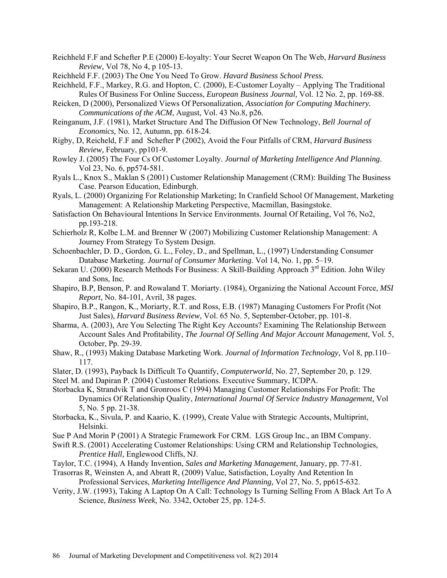- Reichheld F.F and Schefter P.E (2000) E-loyalty: Your Secret Weapon On The Web, *Harvard Business Review,* Vol 78, No 4, p 105-13.
- Reichheld F.F. (2003) The One You Need To Grow. *Havard Business School Press.*
- Reichheld, F.F., Markey, R.G. and Hopton, C. (2000), E-Customer Loyalty Applying The Traditional Rules Of Business For Online Success, *European Business Journal,* Vol. 12 No. 2, pp. 169-88.
- Reicken, D (2000), Personalized Views Of Personalization, *Association for Computing Machinery. Communications of the ACM*, August, Vol. 43 No.8, p26.
- Reinganum, J.F. (1981), Market Structure And The Diffusion Of New Technology, *Bell Journal of Economics,* No. 12, Autumn, pp. 618-24.
- Rigby, D, Reicheld, F.F and Schefter P (2002), Avoid the Four Pitfalls of CRM, *Harvard Business Review,* February, pp101-9.
- Rowley J. (2005) The Four Cs Of Customer Loyalty. *Journal of Marketing Intelligence And Planning*. Vol 23, No. 6, pp574-581.
- Ryals L., Knox S., Maklan S (2001) Customer Relationship Management (CRM): Building The Business Case. Pearson Education, Edinburgh.
- Ryals, L. (2000) Organizing For Relationship Marketing; In Cranfield School Of Management, Marketing Management: A Relationship Marketing Perspective, Macmillan, Basingstoke.
- Satisfaction On Behavioural Intentions In Service Environments. Journal Of Retailing, Vol 76, No2, pp.193-218.
- Schierholz R, Kolbe L.M. and Brenner W (2007) Mobilizing Customer Relationship Management: A Journey From Strategy To System Design.
- Schoenbachler, D. D., Gordon, G. L., Foley, D., and Spellman, L., (1997) Understanding Consumer Database Marketing. *Journal of Consumer Marketing*. Vol 14, No. 1, pp. 5–19.
- Sekaran U. (2000) Research Methods For Business: A Skill-Building Approach 3<sup>rd</sup> Edition. John Wiley and Sons, Inc.
- Shapiro, B.P, Benson, P. and Rowaland T. Moriarty. (1984), Organizing the National Account Force, *MSI Report*, No. 84-101, Avril, 38 pages.
- Shapiro, B.P., Rangon, K., Moriarty, R.T. and Ross, E.B. (1987) Managing Customers For Profit (Not Just Sales), *Harvard Business Review,* Vol. 65 No. 5, September-October, pp. 101-8.
- Sharma, A. (2003), Are You Selecting The Right Key Accounts? Examining The Relationship Between Account Sales And Profitability, *The Journal Of Selling And Major Account Management*, Vol. 5, October, Pp. 29-39.
- Shaw, R., (1993) Making Database Marketing Work. *Journal of Information Technology*, Vol 8, pp.110– 117.
- Slater, D. (1993), Payback Is Difficult To Quantify, *Computerworld*, No. 27, September 20, p. 129.
- Steel M. and Dapiran P. (2004) Customer Relations. Executive Summary, ICDPA.
- Storbacka K, Strandvik T and Gronroos C (1994) Managing Customer Relationships For Profit: The Dynamics Of Relationship Quality, *International Journal Of Service Industry Management,* Vol 5, No. 5 pp. 21-38.
- Storbacka, K., Sivula, P. and Kaario, K. (1999), Create Value with Strategic Accounts, Multiprint, Helsinki.
- Sue P And Morin P (2001) A Strategic Framework For CRM. LGS Group Inc., an IBM Company.
- Swift R.S. (2001) Accelerating Customer Relationships: Using CRM and Relationship Technologies, *Prentice Hall,* Englewood Cliffs, NJ.
- Taylor, T.C. (1994), A Handy Invention, *Sales and Marketing Management*, January, pp. 77-81.
- Trasorras R, Weinsten A, and Abratt R, (2009) Value, Satisfaction, Loyalty And Retention In Professional Services, *Marketing Intelligence And Planning,* Vol 27, No. 5, pp615-632.
- Verity, J.W. (1993), Taking A Laptop On A Call: Technology Is Turning Selling From A Black Art To A Science, *Business Week,* No. 3342, October 25, pp. 124-5.